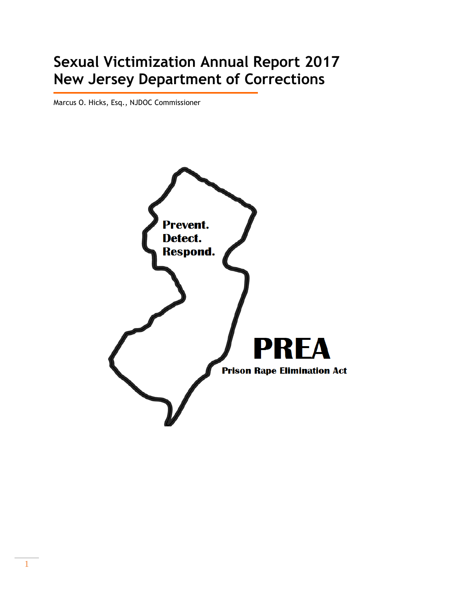# **Sexual Victimization Annual Report 2017 New Jersey Department of Corrections**

Marcus O. Hicks, Esq., NJDOC Commissioner

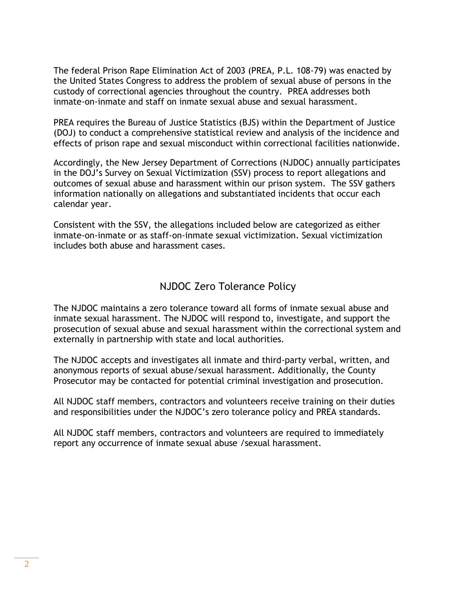The federal Prison Rape Elimination Act of 2003 (PREA, P.L. 108-79) was enacted by the United States Congress to address the problem of sexual abuse of persons in the custody of correctional agencies throughout the country. PREA addresses both inmate-on-inmate and staff on inmate sexual abuse and sexual harassment.

PREA requires the Bureau of Justice Statistics (BJS) within the Department of Justice (DOJ) to conduct a comprehensive statistical review and analysis of the incidence and effects of prison rape and sexual misconduct within correctional facilities nationwide.

Accordingly, the New Jersey Department of Corrections (NJDOC) annually participates in the DOJ's Survey on Sexual Victimization (SSV) process to report allegations and outcomes of sexual abuse and harassment within our prison system. The SSV gathers information nationally on allegations and substantiated incidents that occur each calendar year.

Consistent with the SSV, the allegations included below are categorized as either inmate-on-inmate or as staff-on-inmate sexual victimization. Sexual victimization includes both abuse and harassment cases.

# NJDOC Zero Tolerance Policy

The NJDOC maintains a zero tolerance toward all forms of inmate sexual abuse and inmate sexual harassment. The NJDOC will respond to, investigate, and support the prosecution of sexual abuse and sexual harassment within the correctional system and externally in partnership with state and local authorities.

The NJDOC accepts and investigates all inmate and third-party verbal, written, and anonymous reports of sexual abuse/sexual harassment. Additionally, the County Prosecutor may be contacted for potential criminal investigation and prosecution.

All NJDOC staff members, contractors and volunteers receive training on their duties and responsibilities under the NJDOC's zero tolerance policy and PREA standards.

All NJDOC staff members, contractors and volunteers are required to immediately report any occurrence of inmate sexual abuse /sexual harassment.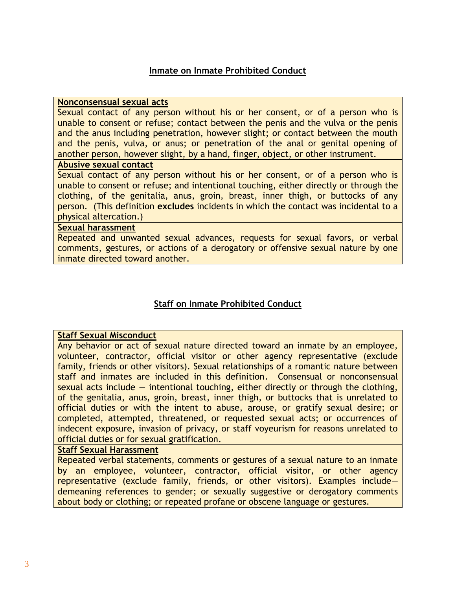#### **Inmate on Inmate Prohibited Conduct**

#### **Nonconsensual sexual acts**

Sexual contact of any person without his or her consent, or of a person who is unable to consent or refuse; contact between the penis and the vulva or the penis and the anus including penetration, however slight; or contact between the mouth and the penis, vulva, or anus; or penetration of the anal or genital opening of another person, however slight, by a hand, finger, object, or other instrument.

#### **Abusive sexual contact**

Sexual contact of any person without his or her consent, or of a person who is unable to consent or refuse; and intentional touching, either directly or through the clothing, of the genitalia, anus, groin, breast, inner thigh, or buttocks of any person. (This definition **excludes** incidents in which the contact was incidental to a physical altercation.)

#### **Sexual harassment**

Repeated and unwanted sexual advances, requests for sexual favors, or verbal comments, gestures, or actions of a derogatory or offensive sexual nature by one inmate directed toward another.

#### **Staff on Inmate Prohibited Conduct**

#### **Staff Sexual Misconduct**

Any behavior or act of sexual nature directed toward an inmate by an employee, volunteer, contractor, official visitor or other agency representative (exclude family, friends or other visitors). Sexual relationships of a romantic nature between staff and inmates are included in this definition. Consensual or nonconsensual sexual acts include — intentional touching, either directly or through the clothing, of the genitalia, anus, groin, breast, inner thigh, or buttocks that is unrelated to official duties or with the intent to abuse, arouse, or gratify sexual desire; or completed, attempted, threatened, or requested sexual acts; or occurrences of indecent exposure, invasion of privacy, or staff voyeurism for reasons unrelated to official duties or for sexual gratification.

#### **Staff Sexual Harassment**

Repeated verbal statements, comments or gestures of a sexual nature to an inmate by an employee, volunteer, contractor, official visitor, or other agency representative (exclude family, friends, or other visitors). Examples include demeaning references to gender; or sexually suggestive or derogatory comments about body or clothing; or repeated profane or obscene language or gestures.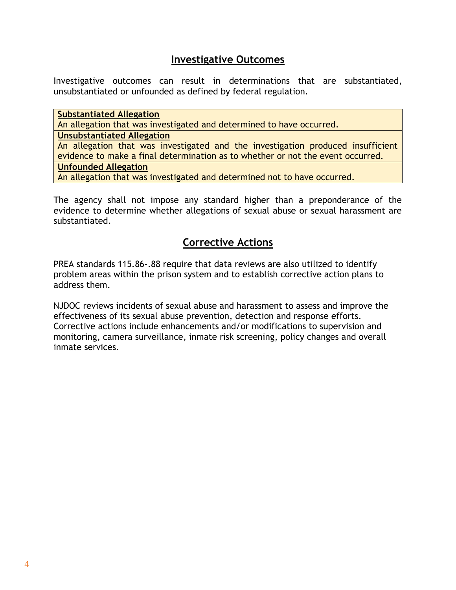## **Investigative Outcomes**

Investigative outcomes can result in determinations that are substantiated, unsubstantiated or unfounded as defined by federal regulation.

**Substantiated Allegation**  An allegation that was investigated and determined to have occurred. **Unsubstantiated Allegation** An allegation that was investigated and the investigation produced insufficient evidence to make a final determination as to whether or not the event occurred.

#### **Unfounded Allegation**

An allegation that was investigated and determined not to have occurred.

The agency shall not impose any standard higher than a preponderance of the evidence to determine whether allegations of sexual abuse or sexual harassment are substantiated.

# **Corrective Actions**

PREA standards 115.86-.88 require that data reviews are also utilized to identify problem areas within the prison system and to establish corrective action plans to address them.

NJDOC reviews incidents of sexual abuse and harassment to assess and improve the effectiveness of its sexual abuse prevention, detection and response efforts. Corrective actions include enhancements and/or modifications to supervision and monitoring, camera surveillance, inmate risk screening, policy changes and overall inmate services.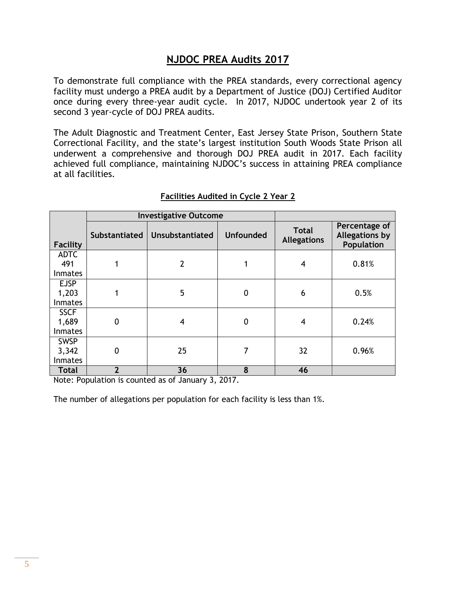## **NJDOC PREA Audits 2017**

To demonstrate full compliance with the PREA standards, every correctional agency facility must undergo a PREA audit by a Department of Justice (DOJ) Certified Auditor once during every three-year audit cycle. In 2017, NJDOC undertook year 2 of its second 3 year-cycle of DOJ PREA audits.

The Adult Diagnostic and Treatment Center, East Jersey State Prison, Southern State Correctional Facility, and the state's largest institution South Woods State Prison all underwent a comprehensive and thorough DOJ PREA audit in 2017. Each facility achieved full compliance, maintaining NJDOC's success in attaining PREA compliance at all facilities.

|                                        |                      | <b>Investigative Outcome</b> |                  |                                    |                                                      |
|----------------------------------------|----------------------|------------------------------|------------------|------------------------------------|------------------------------------------------------|
| <b>Facility</b>                        | <b>Substantiated</b> | <b>Unsubstantiated</b>       | <b>Unfounded</b> | <b>Total</b><br><b>Allegations</b> | Percentage of<br><b>Allegations by</b><br>Population |
| <b>ADTC</b><br>491<br><b>Inmates</b>   |                      | $\overline{2}$               |                  | 4                                  | 0.81%                                                |
| <b>EJSP</b><br>1,203<br><b>Inmates</b> |                      | 5                            | $\mathbf 0$      | 6                                  | 0.5%                                                 |
| <b>SSCF</b><br>1,689<br><b>Inmates</b> | 0                    | 4                            | $\boldsymbol{0}$ | 4                                  | 0.24%                                                |
| <b>SWSP</b><br>3,342<br><b>Inmates</b> | 0                    | 25                           | 7                | 32                                 | 0.96%                                                |
| <b>Total</b>                           | $\overline{2}$       | 36                           | 8                | 46                                 |                                                      |

#### **Facilities Audited in Cycle 2 Year 2**

Note: Population is counted as of January 3, 2017.

The number of allegations per population for each facility is less than 1%.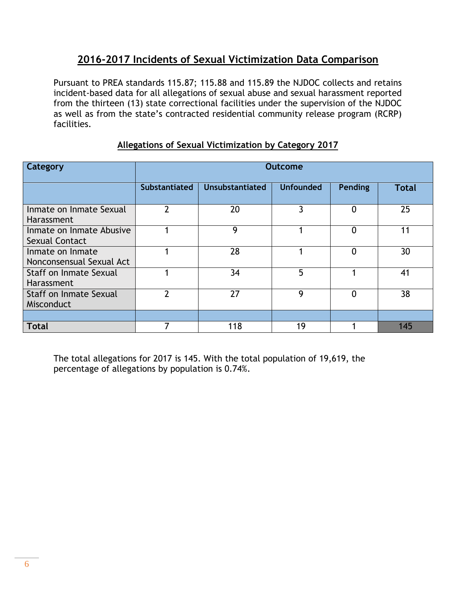# **2016-2017 Incidents of Sexual Victimization Data Comparison**

Pursuant to PREA standards 115.87; 115.88 and 115.89 the NJDOC collects and retains incident-based data for all allegations of sexual abuse and sexual harassment reported from the thirteen (13) state correctional facilities under the supervision of the NJDOC as well as from the state's contracted residential community release program (RCRP) facilities.

| Category                                     | <b>Outcome</b>       |                        |                  |                |              |  |
|----------------------------------------------|----------------------|------------------------|------------------|----------------|--------------|--|
|                                              | <b>Substantiated</b> | <b>Unsubstantiated</b> | <b>Unfounded</b> | <b>Pending</b> | <b>Total</b> |  |
| Inmate on Inmate Sexual<br>Harassment        | າ                    | 20                     | 3                | $\overline{0}$ | 25           |  |
| Inmate on Inmate Abusive<br>Sexual Contact   |                      | 9                      |                  | $\Omega$       | 11           |  |
| Inmate on Inmate<br>Nonconsensual Sexual Act |                      | 28                     |                  | 0              | 30           |  |
| Staff on Inmate Sexual<br>Harassment         |                      | 34                     | 5                |                | 41           |  |
| Staff on Inmate Sexual<br>Misconduct         | າ                    | 27                     | 9                | $\Omega$       | 38           |  |
|                                              |                      |                        |                  |                |              |  |
| <b>Total</b>                                 |                      | 118                    | 19               |                | 145          |  |

## **Allegations of Sexual Victimization by Category 2017**

The total allegations for 2017 is 145. With the total population of 19,619, the percentage of allegations by population is 0.74%.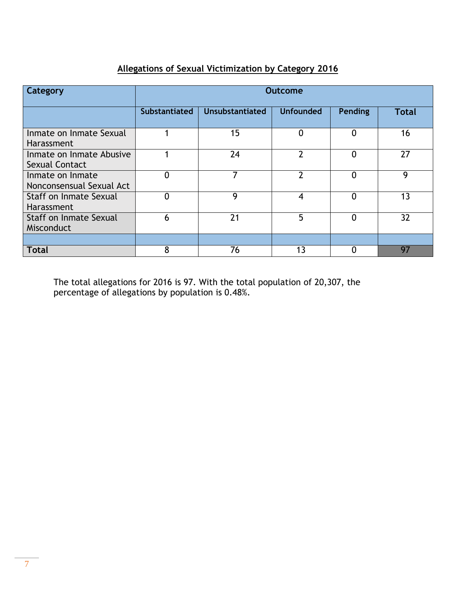# **Allegations of Sexual Victimization by Category 2016**

| Category                                     | <b>Outcome</b>       |                        |                  |                |              |  |  |
|----------------------------------------------|----------------------|------------------------|------------------|----------------|--------------|--|--|
|                                              | <b>Substantiated</b> | <b>Unsubstantiated</b> | <b>Unfounded</b> | <b>Pending</b> | <b>Total</b> |  |  |
| Inmate on Inmate Sexual<br>Harassment        |                      | 15                     | $\overline{0}$   | $\overline{0}$ | 16           |  |  |
| Inmate on Inmate Abusive<br>Sexual Contact   |                      | 24                     | $\mathcal{P}$    | 0              | 27           |  |  |
| Inmate on Inmate<br>Nonconsensual Sexual Act | $\mathbf{0}$         |                        | າ                | $\Omega$       | 9            |  |  |
| <b>Staff on Inmate Sexual</b><br>Harassment  | $\overline{0}$       | 9                      | 4                | $\Omega$       | 13           |  |  |
| <b>Staff on Inmate Sexual</b><br>Misconduct  | 6                    | 21                     | 5                | 0              | 32           |  |  |
|                                              |                      |                        |                  |                |              |  |  |
| <b>Total</b>                                 | 8                    | 76                     | 1 <sub>3</sub>   |                | 97           |  |  |

The total allegations for 2016 is 97. With the total population of 20,307, the percentage of allegations by population is 0.48%.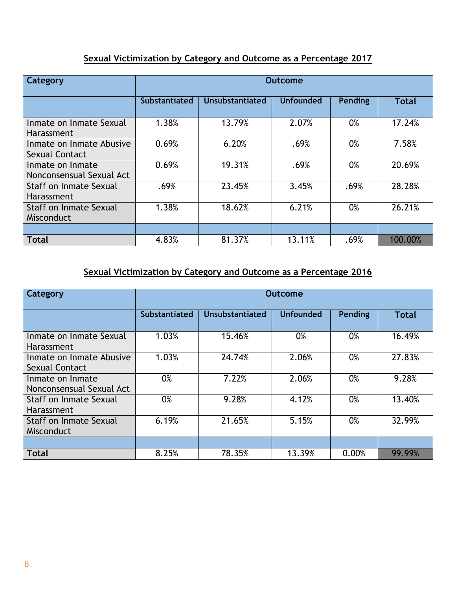### **Sexual Victimization by Category and Outcome as a Percentage 2017**

| Category                                     | Outcome              |                        |                  |         |              |  |  |
|----------------------------------------------|----------------------|------------------------|------------------|---------|--------------|--|--|
|                                              | <b>Substantiated</b> | <b>Unsubstantiated</b> | <b>Unfounded</b> | Pending | <b>Total</b> |  |  |
| Inmate on Inmate Sexual<br><b>Harassment</b> | 1.38%                | 13.79%                 | 2.07%            | 0%      | 17.24%       |  |  |
| Inmate on Inmate Abusive<br>Sexual Contact   | 0.69%                | 6.20%                  | .69%             | 0%      | 7.58%        |  |  |
| Inmate on Inmate<br>Nonconsensual Sexual Act | 0.69%                | 19.31%                 | .69%             | 0%      | 20.69%       |  |  |
| Staff on Inmate Sexual<br><b>Harassment</b>  | .69%                 | 23.45%                 | 3.45%            | .69%    | 28.28%       |  |  |
| <b>Staff on Inmate Sexual</b><br>Misconduct  | 1.38%                | 18.62%                 | 6.21%            | 0%      | 26.21%       |  |  |
|                                              |                      |                        |                  |         |              |  |  |
| <b>Total</b>                                 | 4.83%                | 81.37%                 | 13.11%           | .69%    | 100.00%      |  |  |

# **Sexual Victimization by Category and Outcome as a Percentage 2016**

| Category                                     | <b>Outcome</b> |                        |                  |         |              |  |
|----------------------------------------------|----------------|------------------------|------------------|---------|--------------|--|
|                                              | Substantiated  | <b>Unsubstantiated</b> | <b>Unfounded</b> | Pending | <b>Total</b> |  |
| Inmate on Inmate Sexual<br><b>Harassment</b> | 1.03%          | 15.46%                 | 0%               | 0%      | 16.49%       |  |
| Inmate on Inmate Abusive<br>Sexual Contact   | 1.03%          | 24.74%                 | 2.06%            | 0%      | 27.83%       |  |
| Inmate on Inmate<br>Nonconsensual Sexual Act | 0%             | 7.22%                  | 2.06%            | 0%      | 9.28%        |  |
| Staff on Inmate Sexual<br>Harassment         | 0%             | 9.28%                  | 4.12%            | 0%      | 13.40%       |  |
| Staff on Inmate Sexual<br>Misconduct         | 6.19%          | 21.65%                 | 5.15%            | 0%      | 32.99%       |  |
|                                              |                |                        |                  |         |              |  |
| <b>Total</b>                                 | 8.25%          | 78.35%                 | 13.39%           | 0.00%   | 99.99%       |  |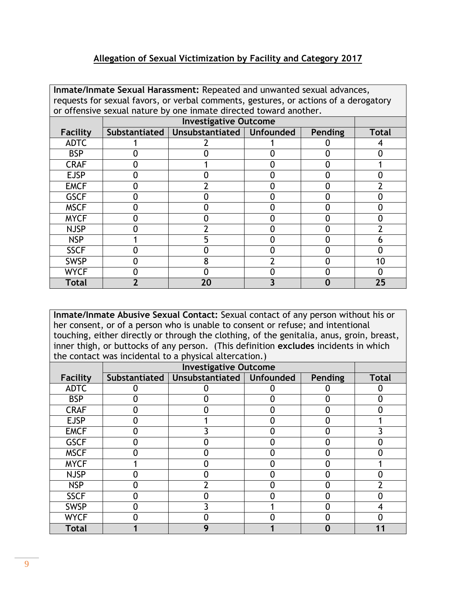#### **Allegation of Sexual Victimization by Facility and Category 2017**

| Inmate/Inmate Sexual Harassment: Repeated and unwanted sexual advances, |                                                                                      |                              |  |                |       |  |  |  |
|-------------------------------------------------------------------------|--------------------------------------------------------------------------------------|------------------------------|--|----------------|-------|--|--|--|
|                                                                         | requests for sexual favors, or verbal comments, gestures, or actions of a derogatory |                              |  |                |       |  |  |  |
|                                                                         | or offensive sexual nature by one inmate directed toward another.                    |                              |  |                |       |  |  |  |
|                                                                         |                                                                                      | <b>Investigative Outcome</b> |  |                |       |  |  |  |
| Facility                                                                | Substantiated                                                                        | Unsubstantiated   Unfounded  |  | <b>Pending</b> | Total |  |  |  |
| <b>ADTC</b>                                                             |                                                                                      |                              |  |                |       |  |  |  |
| <b>BSP</b>                                                              |                                                                                      |                              |  |                |       |  |  |  |
| <b>CRAF</b>                                                             |                                                                                      |                              |  |                |       |  |  |  |
| <b>EJSP</b>                                                             |                                                                                      |                              |  |                |       |  |  |  |
| <b>EMCF</b>                                                             |                                                                                      |                              |  |                |       |  |  |  |
| <b>GSCF</b>                                                             |                                                                                      |                              |  |                |       |  |  |  |
| <b>MSCF</b>                                                             |                                                                                      |                              |  |                |       |  |  |  |
| <b>MYCF</b>                                                             |                                                                                      |                              |  |                |       |  |  |  |
| <b>NJSP</b>                                                             |                                                                                      |                              |  |                |       |  |  |  |
| <b>NSP</b>                                                              |                                                                                      |                              |  |                |       |  |  |  |
| <b>SSCF</b>                                                             |                                                                                      |                              |  |                |       |  |  |  |
| <b>SWSP</b>                                                             |                                                                                      |                              |  |                | 10    |  |  |  |
| <b>WYCF</b>                                                             |                                                                                      |                              |  |                |       |  |  |  |
| Total                                                                   |                                                                                      | 20                           |  |                | 25    |  |  |  |

**Inmate/Inmate Abusive Sexual Contact:** Sexual contact of any person without his or her consent, or of a person who is unable to consent or refuse; and intentional touching, either directly or through the clothing, of the genitalia, anus, groin, breast, inner thigh, or buttocks of any person. (This definition **excludes** incidents in which the contact was incidental to a physical altercation.)

| <b>Facility</b> | Substantiated | Unsubstantiated | <b>Unfounded</b> | Pending | <b>Total</b> |
|-----------------|---------------|-----------------|------------------|---------|--------------|
| <b>ADTC</b>     |               |                 |                  |         |              |
| <b>BSP</b>      |               |                 |                  |         |              |
| <b>CRAF</b>     |               |                 |                  |         |              |
| <b>EJSP</b>     |               |                 |                  |         |              |
| <b>EMCF</b>     |               |                 |                  | O       |              |
| <b>GSCF</b>     |               |                 |                  |         |              |
| <b>MSCF</b>     |               |                 |                  |         |              |
| <b>MYCF</b>     |               |                 |                  |         |              |
| <b>NJSP</b>     |               |                 |                  |         |              |
| <b>NSP</b>      |               |                 |                  |         |              |
| <b>SSCF</b>     |               |                 |                  |         |              |
| <b>SWSP</b>     |               |                 |                  |         |              |
| <b>WYCF</b>     |               |                 |                  |         |              |
| <b>Total</b>    |               | О               |                  |         |              |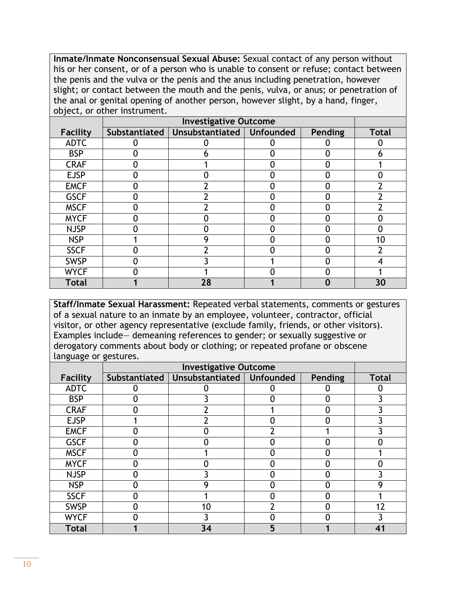**Inmate/Inmate Nonconsensual Sexual Abuse:** Sexual contact of any person without his or her consent, or of a person who is unable to consent or refuse; contact between the penis and the vulva or the penis and the anus including penetration, however slight; or contact between the mouth and the penis, vulva, or anus; or penetration of the anal or genital opening of another person, however slight, by a hand, finger, object, or other instrument.

| <b>Facility</b> | Substantiated | Unsubstantiated   Unfounded | Pending | <b>Total</b> |
|-----------------|---------------|-----------------------------|---------|--------------|
| <b>ADTC</b>     |               |                             |         |              |
| <b>BSP</b>      |               |                             |         |              |
| <b>CRAF</b>     |               |                             |         |              |
| <b>EJSP</b>     |               |                             |         |              |
| <b>EMCF</b>     |               |                             |         |              |
| <b>GSCF</b>     |               |                             |         |              |
| <b>MSCF</b>     |               |                             |         |              |
| <b>MYCF</b>     |               |                             |         |              |
| <b>NJSP</b>     |               |                             |         |              |
| <b>NSP</b>      |               |                             |         | 10           |
| <b>SSCF</b>     |               |                             |         |              |
| <b>SWSP</b>     |               |                             |         |              |
| <b>WYCF</b>     |               |                             |         |              |
| <b>Total</b>    |               | 28                          |         | 30           |

**Staff/Inmate Sexual Harassment:** Repeated verbal statements, comments or gestures of a sexual nature to an inmate by an employee, volunteer, contractor, official visitor, or other agency representative (exclude family, friends, or other visitors). Examples include— demeaning references to gender; or sexually suggestive or derogatory comments about body or clothing; or repeated profane or obscene language or gestures.

| Facility     | Substantiated | Unsubstantiated   Unfounded |   | Pending | <b>Total</b> |
|--------------|---------------|-----------------------------|---|---------|--------------|
| <b>ADTC</b>  |               |                             |   |         |              |
| <b>BSP</b>   |               |                             | C |         |              |
| <b>CRAF</b>  |               |                             |   |         |              |
| <b>EJSP</b>  |               |                             |   |         |              |
| <b>EMCF</b>  |               |                             |   |         |              |
| <b>GSCF</b>  |               |                             |   |         |              |
| <b>MSCF</b>  |               |                             |   |         |              |
| <b>MYCF</b>  |               |                             |   |         |              |
| <b>NJSP</b>  |               |                             |   |         |              |
| <b>NSP</b>   |               | O                           |   |         |              |
| <b>SSCF</b>  |               |                             |   |         |              |
| <b>SWSP</b>  |               | 10                          |   |         | 17           |
| <b>WYCF</b>  |               |                             |   |         |              |
| <b>Total</b> |               | 34                          | 5 |         |              |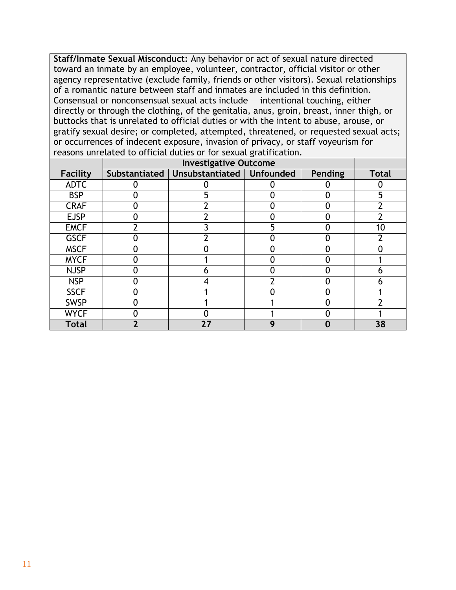**Staff/Inmate Sexual Misconduct:** Any behavior or act of sexual nature directed toward an inmate by an employee, volunteer, contractor, official visitor or other agency representative (exclude family, friends or other visitors). Sexual relationships of a romantic nature between staff and inmates are included in this definition. Consensual or nonconsensual sexual acts include  $-$  intentional touching, either directly or through the clothing, of the genitalia, anus, groin, breast, inner thigh, or buttocks that is unrelated to official duties or with the intent to abuse, arouse, or gratify sexual desire; or completed, attempted, threatened, or requested sexual acts; or occurrences of indecent exposure, invasion of privacy, or staff voyeurism for reasons unrelated to official duties or for sexual gratification.

| <b>Facility</b> | Substantiated | Unsubstantiated   Unfounded |   | <b>Pending</b> | <b>Total</b> |
|-----------------|---------------|-----------------------------|---|----------------|--------------|
| <b>ADTC</b>     |               |                             |   |                |              |
| <b>BSP</b>      |               |                             |   | 0              | 5            |
| <b>CRAF</b>     |               |                             |   | 0              |              |
| <b>EJSP</b>     |               |                             |   | O              |              |
| <b>EMCF</b>     |               |                             | 5 | 0              | 10           |
| <b>GSCF</b>     |               |                             |   | ∩              |              |
| <b>MSCF</b>     |               |                             |   |                |              |
| <b>MYCF</b>     |               |                             |   | 0              |              |
| <b>NJSP</b>     |               |                             |   | O              | n            |
| <b>NSP</b>      |               |                             |   |                | n            |
| <b>SSCF</b>     |               |                             |   | 0              |              |
| <b>SWSP</b>     |               |                             |   |                |              |
| <b>WYCF</b>     |               |                             |   |                |              |
| <b>Total</b>    |               | 27                          | О | 0              | 38           |